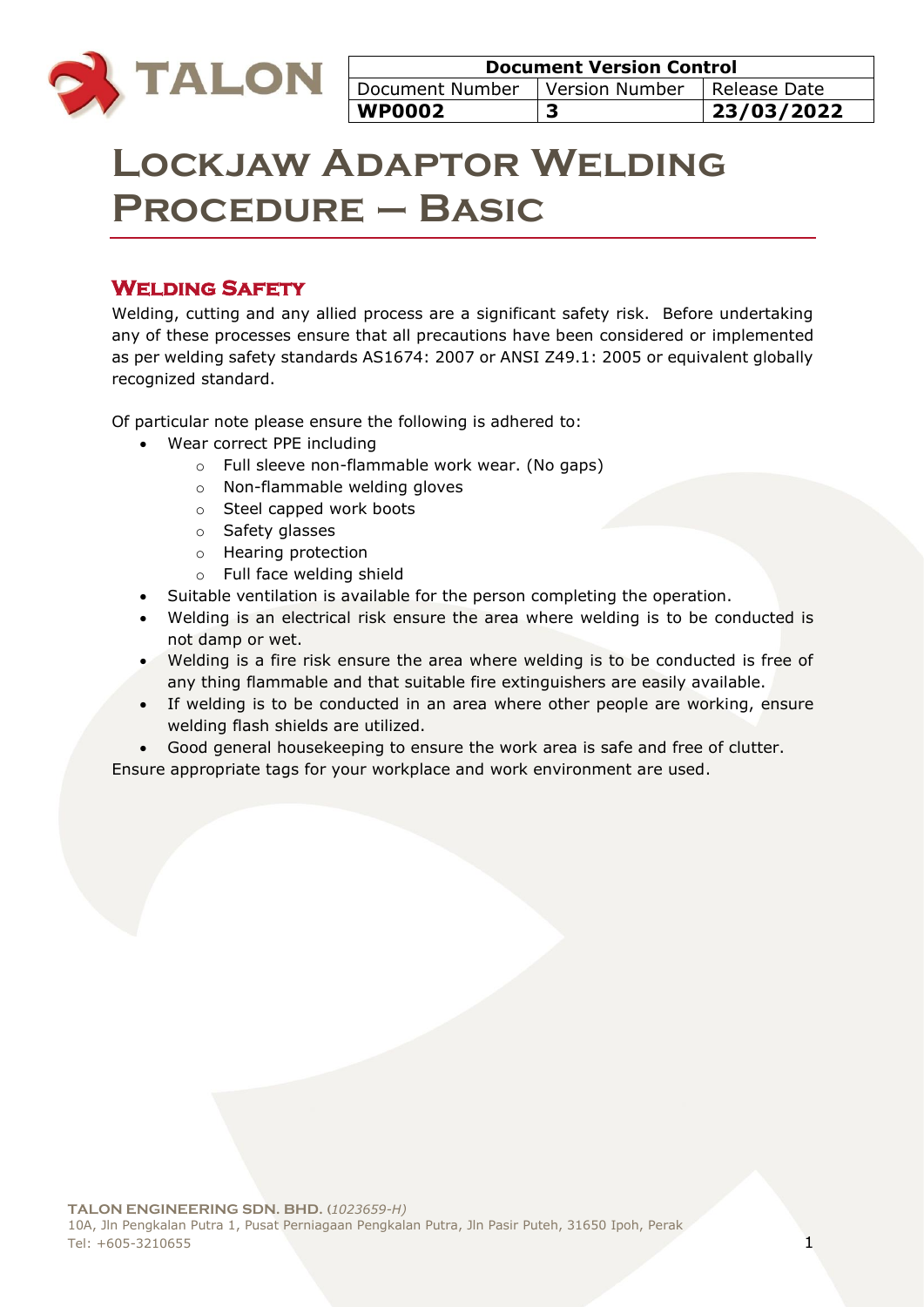

| <b>Document Version Control</b>                     |   |            |  |
|-----------------------------------------------------|---|------------|--|
| Document Number<br>Version Number<br>  Release Date |   |            |  |
| <b>WP0002</b>                                       | 3 | 23/03/2022 |  |

# **Lockjaw Adaptor Welding Procedure – Basic**

## **Welding Safety**

Welding, cutting and any allied process are a significant safety risk. Before undertaking any of these processes ensure that all precautions have been considered or implemented as per welding safety standards AS1674: 2007 or ANSI Z49.1: 2005 or equivalent globally recognized standard.

Of particular note please ensure the following is adhered to:

- Wear correct PPE including
	- o Full sleeve non-flammable work wear. (No gaps)
	- o Non-flammable welding gloves
	- o Steel capped work boots
	- o Safety glasses
	- o Hearing protection
	- o Full face welding shield
- Suitable ventilation is available for the person completing the operation.
- Welding is an electrical risk ensure the area where welding is to be conducted is not damp or wet.
- Welding is a fire risk ensure the area where welding is to be conducted is free of any thing flammable and that suitable fire extinguishers are easily available.
- If welding is to be conducted in an area where other people are working, ensure welding flash shields are utilized.
- Good general housekeeping to ensure the work area is safe and free of clutter.

Ensure appropriate tags for your workplace and work environment are used.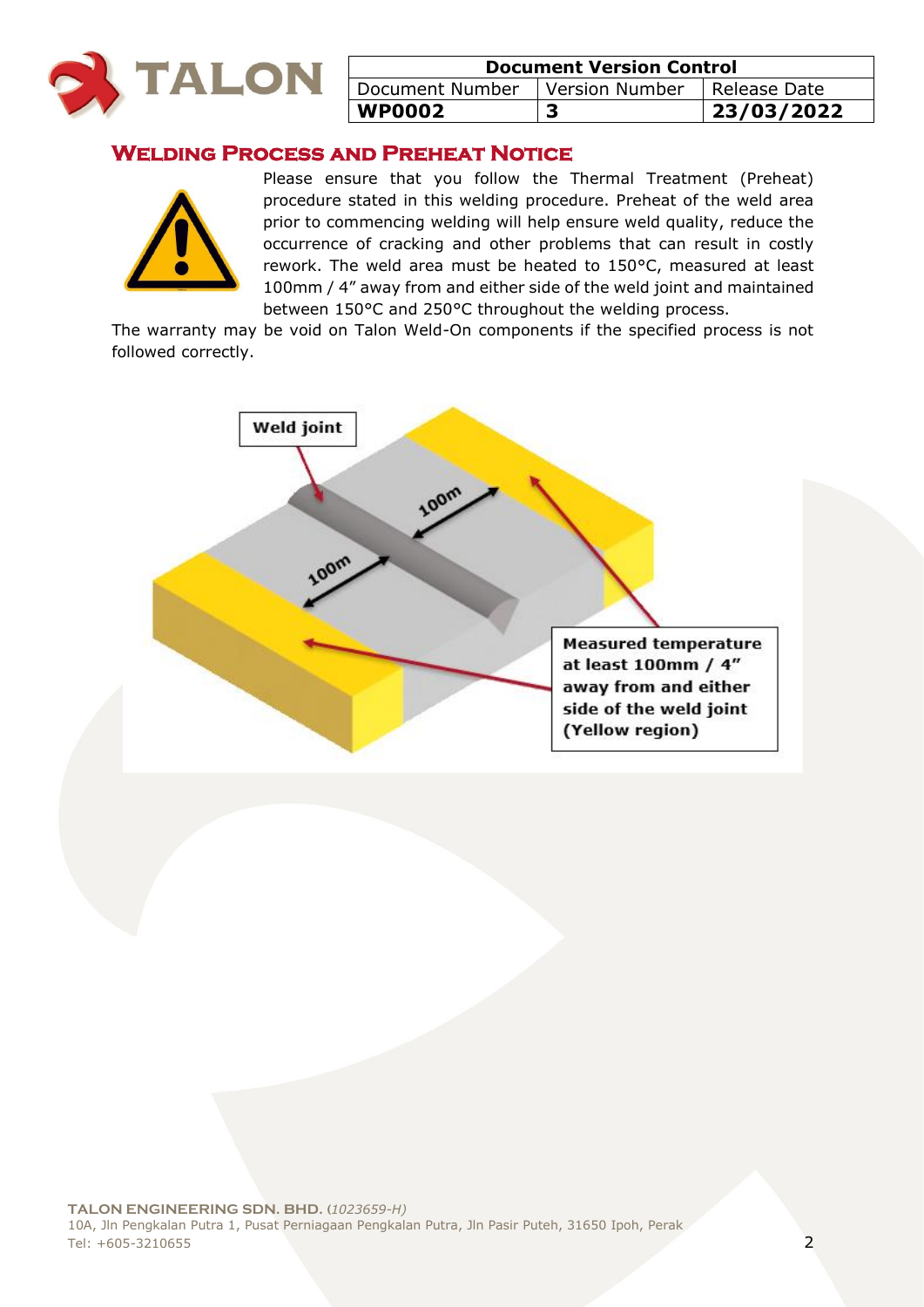

| <b>Document Version Control</b>                  |  |            |  |
|--------------------------------------------------|--|------------|--|
| Document Number<br>Version Number   Release Date |  |            |  |
| <b>WP0002</b>                                    |  | 23/03/2022 |  |

## **Welding Process and Preheat Notice**



Please ensure that you follow the Thermal Treatment (Preheat) procedure stated in this welding procedure. Preheat of the weld area prior to commencing welding will help ensure weld quality, reduce the occurrence of cracking and other problems that can result in costly rework. The weld area must be heated to 150°C, measured at least 100mm / 4" away from and either side of the weld joint and maintained between 150°C and 250°C throughout the welding process.

The warranty may be void on Talon Weld-On components if the specified process is not followed correctly.

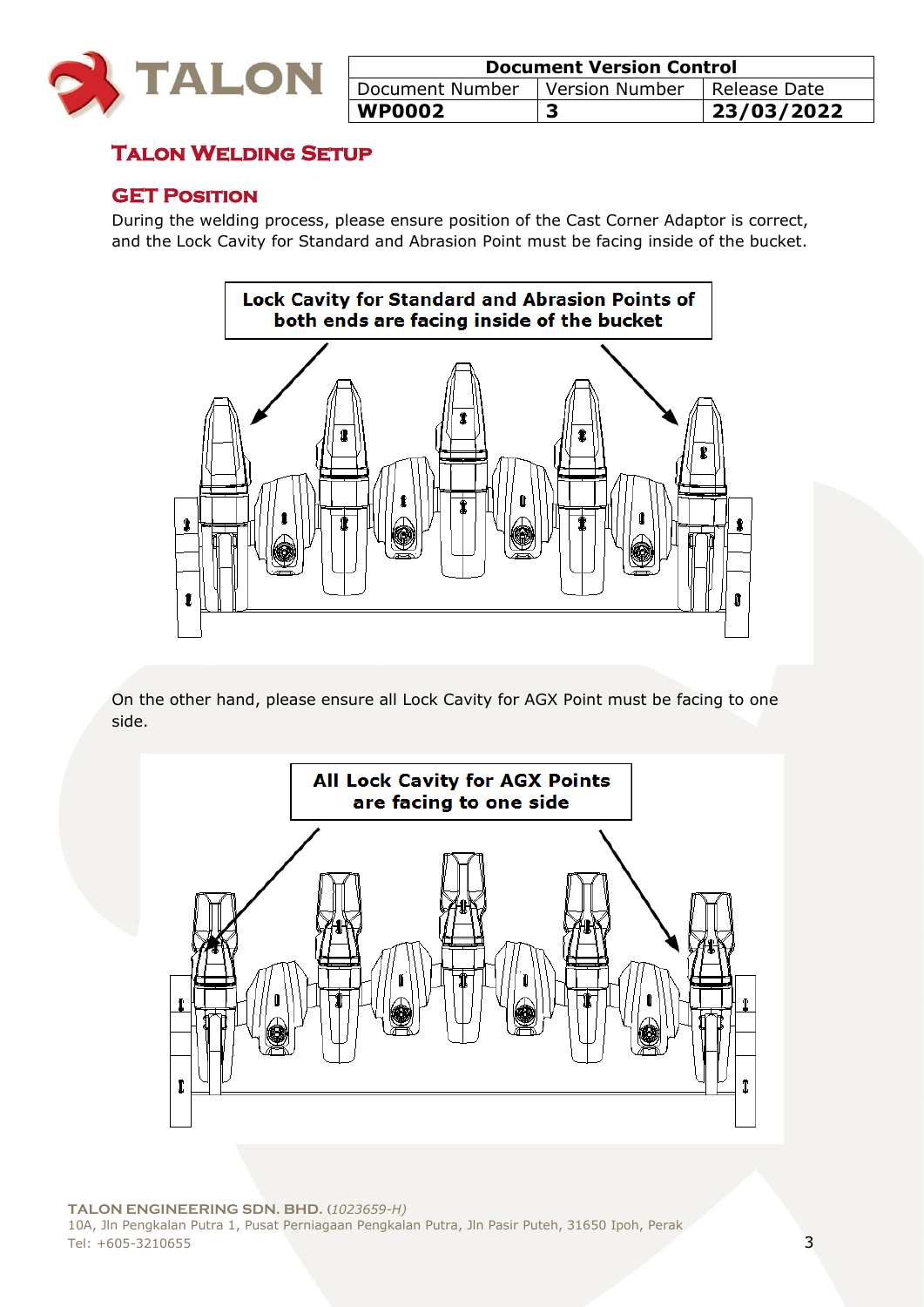

| <b>Document Version Control</b>                   |   |            |  |
|---------------------------------------------------|---|------------|--|
| Document Number<br>Version Number<br>Release Date |   |            |  |
| <b>WP0002</b>                                     | 3 | 23/03/2022 |  |

## **Talon Welding Setup**

## **GET Position**

During the welding process, please ensure position of the Cast Corner Adaptor is correct, and the Lock Cavity for Standard and Abrasion Point must be facing inside of the bucket.



On the other hand, please ensure all Lock Cavity for AGX Point must be facing to one side.

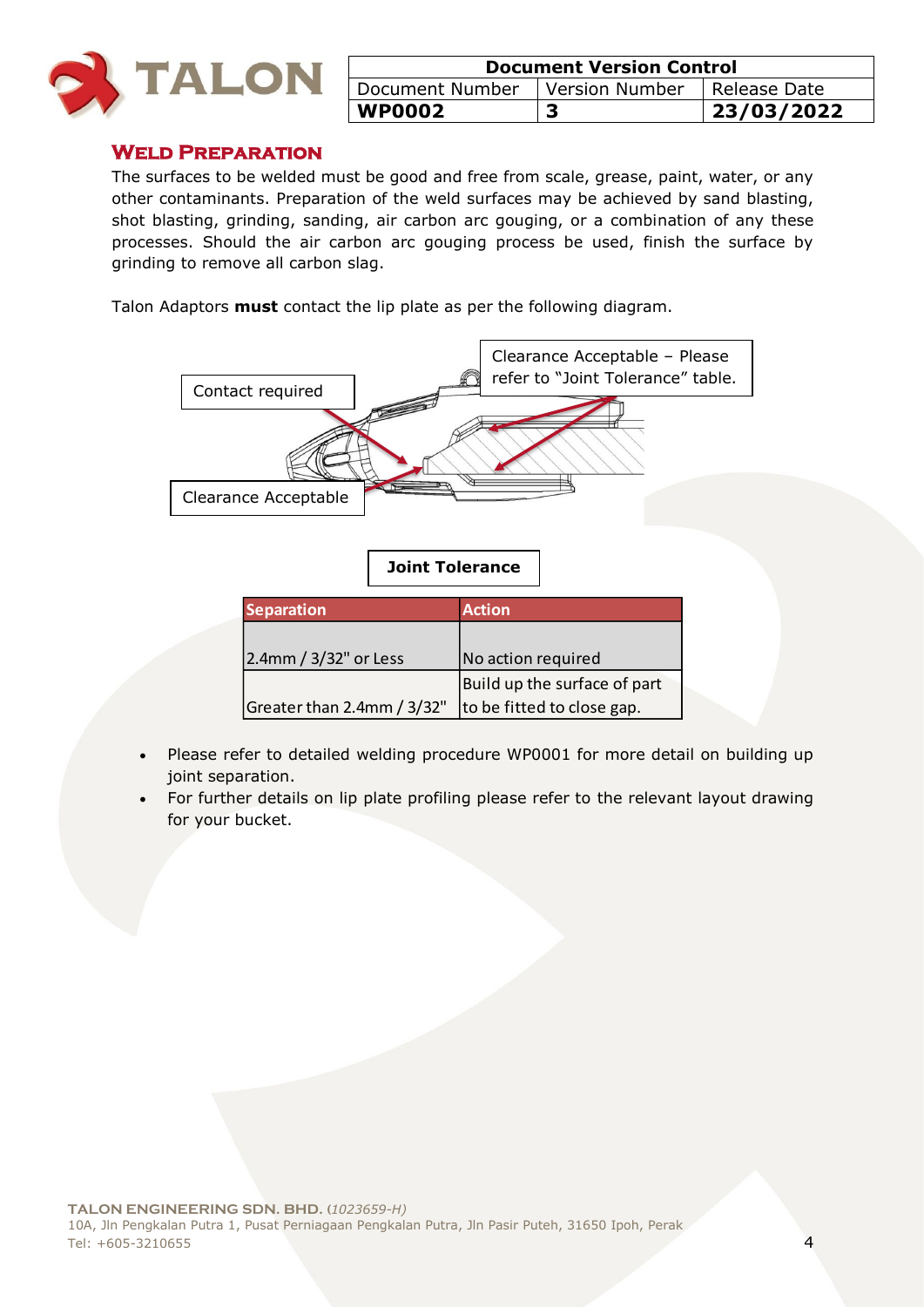

| <b>Document Version Control</b>                 |  |            |  |
|-------------------------------------------------|--|------------|--|
| Document Number   Version Number   Release Date |  |            |  |
| <b>WP0002</b>                                   |  | 23/03/2022 |  |

#### **Weld Preparation**

The surfaces to be welded must be good and free from scale, grease, paint, water, or any other contaminants. Preparation of the weld surfaces may be achieved by sand blasting, shot blasting, grinding, sanding, air carbon arc gouging, or a combination of any these processes. Should the air carbon arc gouging process be used, finish the surface by grinding to remove all carbon slag.

Talon Adaptors **must** contact the lip plate as per the following diagram.



## **Joint Tolerance**

| <b>Separation</b>          | <b>Action</b>                |
|----------------------------|------------------------------|
|                            |                              |
| 2.4mm / 3/32" or Less      | No action required           |
|                            | Build up the surface of part |
| Greater than 2.4mm / 3/32" | to be fitted to close gap.   |

- Please refer to detailed welding procedure WP0001 for more detail on building up joint separation.
- For further details on lip plate profiling please refer to the relevant layout drawing for your bucket.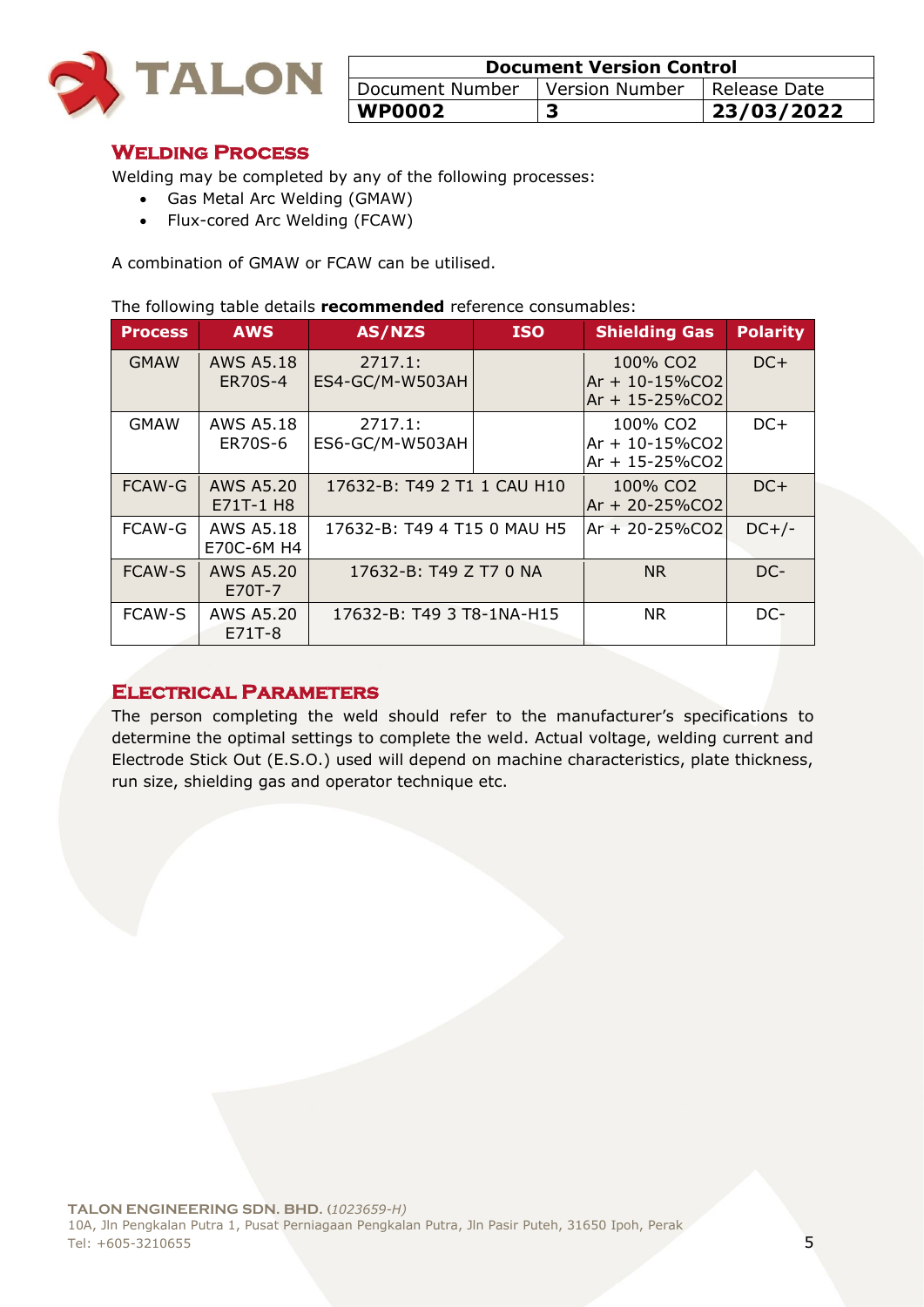

| <b>Document Version Control</b>                     |  |            |  |
|-----------------------------------------------------|--|------------|--|
| Document Number<br>Version Number<br>I Release Date |  |            |  |
| <b>WP0002</b>                                       |  | 23/03/2022 |  |

#### **Welding Process**

Welding may be completed by any of the following processes:

- Gas Metal Arc Welding (GMAW)
- Flux-cored Arc Welding (FCAW)

A combination of GMAW or FCAW can be utilised.

#### The following table details **recommended** reference consumables:

| <b>Process</b> | <b>AWS</b>                     | AS/NZS                      | <b>ISO</b> | <b>Shielding Gas</b>                                                | <b>Polarity</b> |
|----------------|--------------------------------|-----------------------------|------------|---------------------------------------------------------------------|-----------------|
| <b>GMAW</b>    | <b>AWS A5.18</b><br>ER70S-4    | 2717.1:<br>ES4-GC/M-W503AH  |            | 100% CO2<br>$Ar + 10 - 15\%$ CO2<br>$Ar + 15 - 25\%CO2$             | $DC+$           |
| <b>GMAW</b>    | AWS A5.18<br>ER70S-6           | 2717.1:<br>ES6-GC/M-W503AH  |            | 100% CO <sub>2</sub><br>$Ar + 10 - 15\%$ CO2<br>$Ar + 15 - 25\%CO2$ | $DC+$           |
| <b>FCAW-G</b>  | <b>AWS A5.20</b><br>E71T-1 H8  | 17632-B: T49 2 T1 1 CAU H10 |            | 100% CO <sub>2</sub><br>$Ar + 20 - 25\%CO2$                         | $DC+$           |
| <b>FCAW-G</b>  | <b>AWS A5.18</b><br>E70C-6M H4 | 17632-B: T49 4 T15 0 MAU H5 |            | $Ar + 20 - 25\%CO2$                                                 | $DC+/-$         |
| <b>FCAW-S</b>  | AWS A5.20<br>E70T-7            | 17632-B: T49 Z T7 0 NA      |            | <b>NR</b>                                                           | DC-             |
| <b>FCAW-S</b>  | AWS A5.20<br>E71T-8            | 17632-B: T49 3 T8-1NA-H15   |            | <b>NR</b>                                                           | DC-             |

#### **Electrical Parameters**

The person completing the weld should refer to the manufacturer's specifications to determine the optimal settings to complete the weld. Actual voltage, welding current and Electrode Stick Out (E.S.O.) used will depend on machine characteristics, plate thickness, run size, shielding gas and operator technique etc.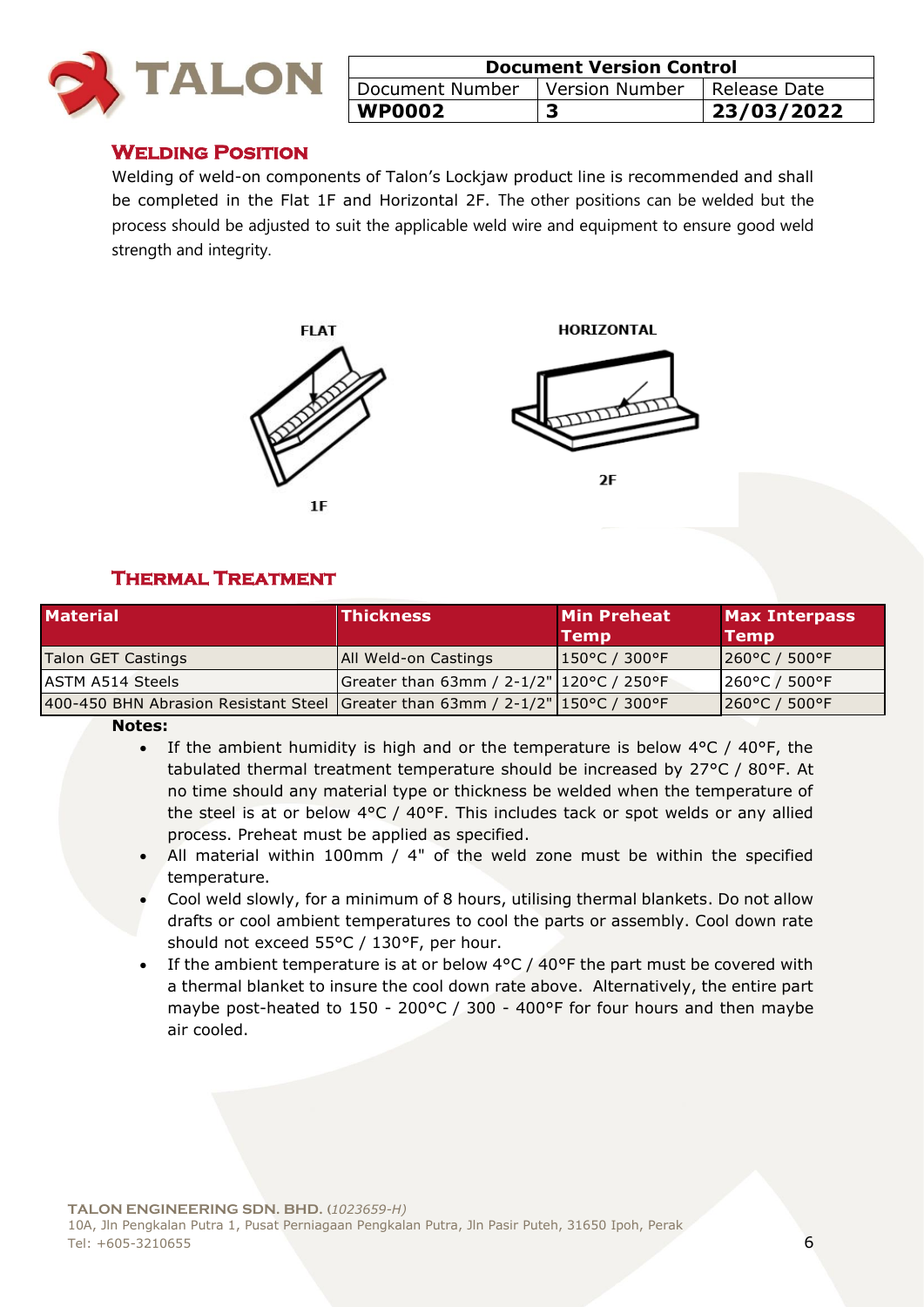

| <b>Document Version Control</b>                  |  |            |  |
|--------------------------------------------------|--|------------|--|
| Version Number   Release Date<br>Document Number |  |            |  |
| <b>WP0002</b>                                    |  | 23/03/2022 |  |

#### **Welding Position**

Welding of weld-on components of Talon's Lockjaw product line is recommended and shall be completed in the Flat 1F and Horizontal 2F. The other positions can be welded but the process should be adjusted to suit the applicable weld wire and equipment to ensure good weld strength and integrity.



## **Thermal Treatment**

| <b>Material</b>                                                               | <b>Thickness</b>                         | <b>Min Preheat</b><br><b>Temp</b> | <b>Max Interpass</b><br><b>Temp</b> |
|-------------------------------------------------------------------------------|------------------------------------------|-----------------------------------|-------------------------------------|
| Talon GET Castings                                                            | All Weld-on Castings                     | 150°C / 300°F                     | $[260^{\circ}C / 500^{\circ}F]$     |
| <b>ASTM A514 Steels</b>                                                       | Greater than 63mm / 2-1/2" 120°C / 250°F |                                   | 260°C / 500°F                       |
| 400-450 BHN Abrasion Resistant Steel Greater than 63mm / 2-1/2" 150°C / 300°F |                                          |                                   | 260°C / 500°F                       |

#### **Notes:**

- If the ambient humidity is high and or the temperature is below  $4^{\circ}$ C /  $40^{\circ}$ F, the tabulated thermal treatment temperature should be increased by 27°C / 80°F. At no time should any material type or thickness be welded when the temperature of the steel is at or below 4°C / 40°F. This includes tack or spot welds or any allied process. Preheat must be applied as specified.
- All material within 100mm / 4" of the weld zone must be within the specified temperature.
- Cool weld slowly, for a minimum of 8 hours, utilising thermal blankets. Do not allow drafts or cool ambient temperatures to cool the parts or assembly. Cool down rate should not exceed 55°C / 130°F, per hour.
- If the ambient temperature is at or below  $4^{\circ}$ C /  $40^{\circ}$ F the part must be covered with a thermal blanket to insure the cool down rate above. Alternatively, the entire part maybe post-heated to 150 - 200°C / 300 - 400°F for four hours and then maybe air cooled.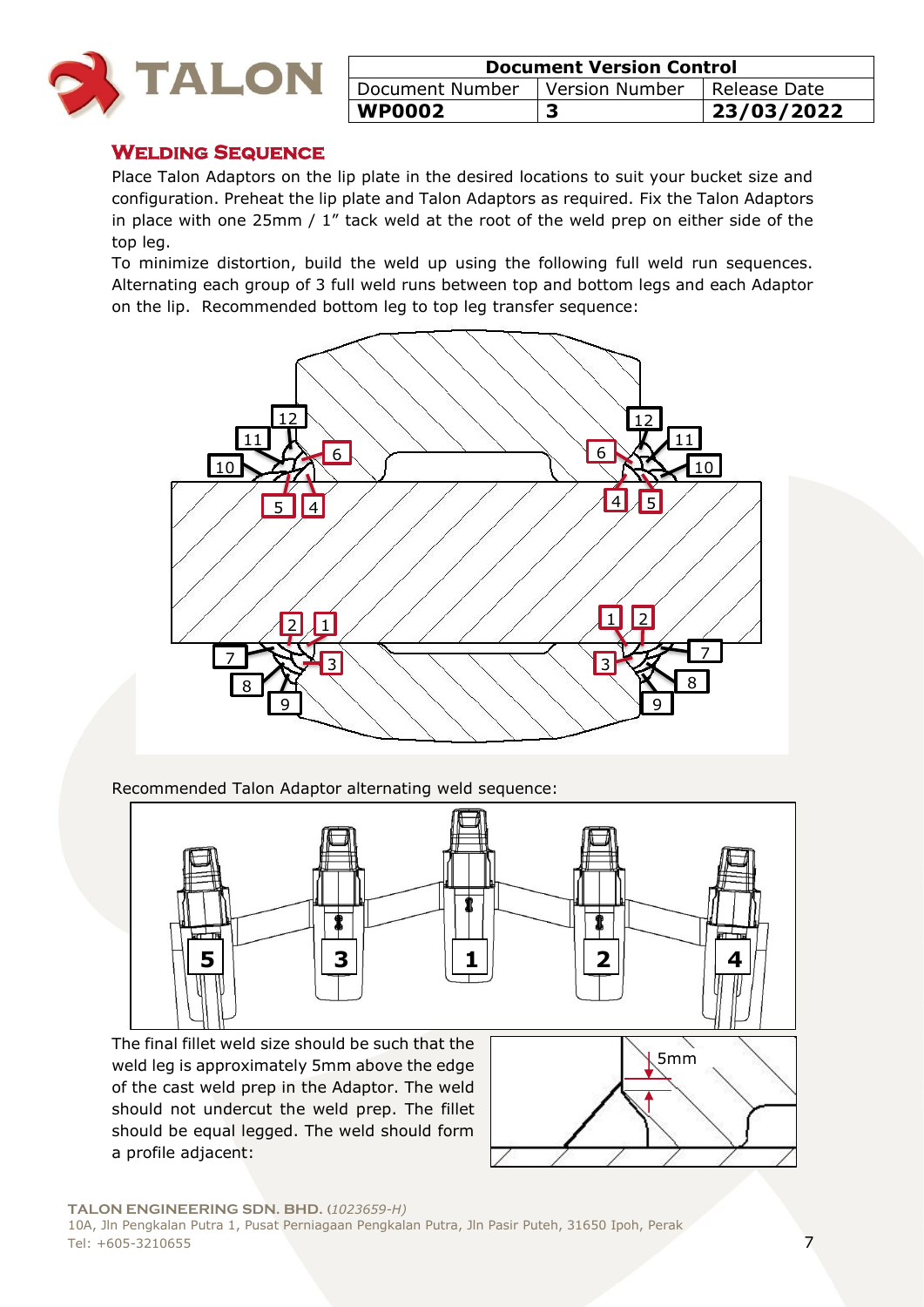

| <b>Document Version Control</b>                              |  |            |  |
|--------------------------------------------------------------|--|------------|--|
| I Document Number<br><b>Version Number</b><br>I Release Date |  |            |  |
| WP0002                                                       |  | 23/03/2022 |  |

#### **Welding Sequence**

Place Talon Adaptors on the lip plate in the desired locations to suit your bucket size and configuration. Preheat the lip plate and Talon Adaptors as required. Fix the Talon Adaptors in place with one 25mm / 1" tack weld at the root of the weld prep on either side of the top leg.

To minimize distortion, build the weld up using the following full weld run sequences. Alternating each group of 3 full weld runs between top and bottom legs and each Adaptor on the lip. Recommended bottom leg to top leg transfer sequence:



Recommended Talon Adaptor alternating weld sequence:

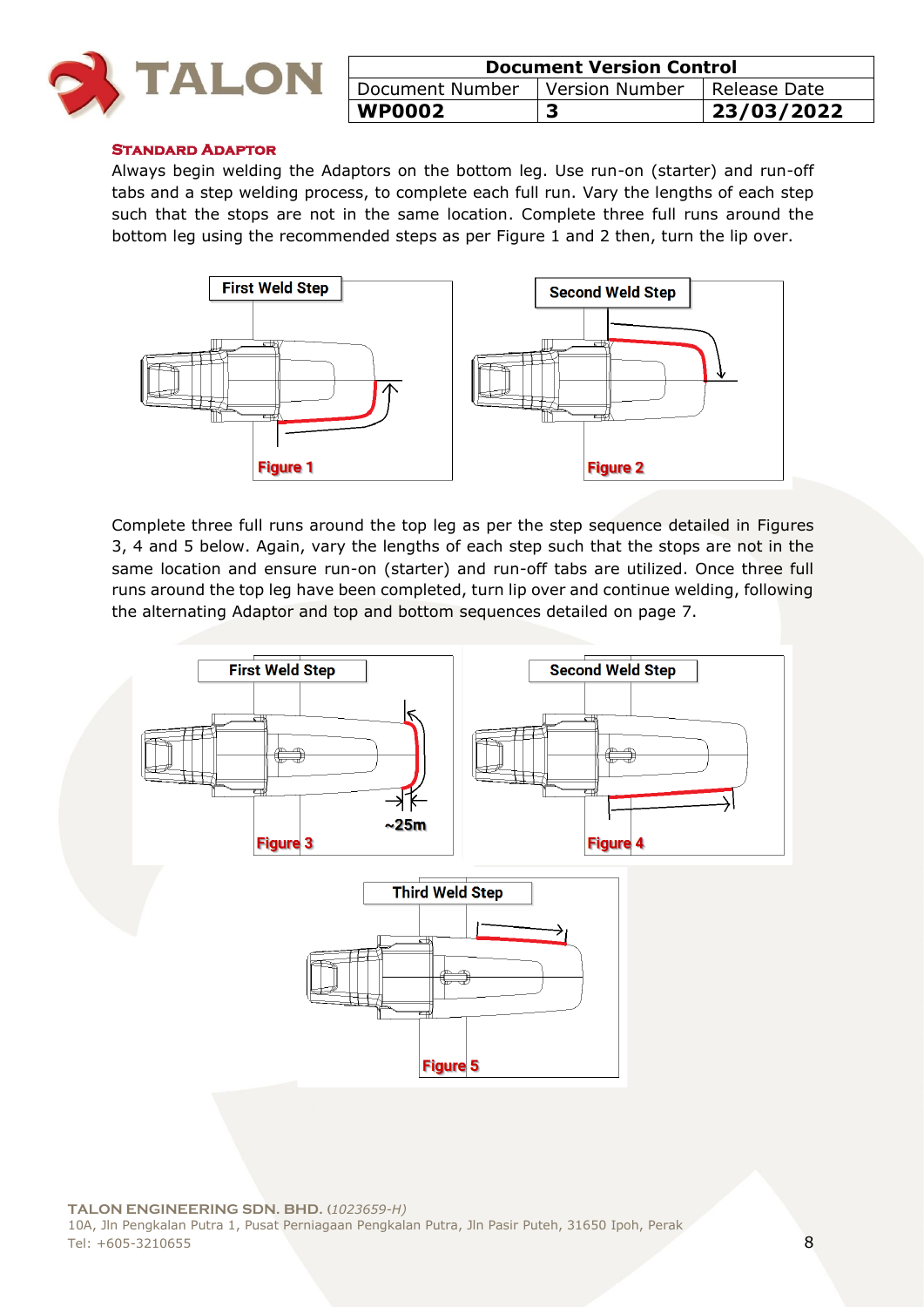

| <b>Document Version Control</b>                     |  |            |  |
|-----------------------------------------------------|--|------------|--|
| Version Number<br>Document Number<br>I Release Date |  |            |  |
| <b>WP0002</b>                                       |  | 23/03/2022 |  |

#### **Standard Adaptor**

Always begin welding the Adaptors on the bottom leg. Use run-on (starter) and run-off tabs and a step welding process, to complete each full run. Vary the lengths of each step such that the stops are not in the same location. Complete three full runs around the bottom leg using the recommended steps as per Figure 1 and 2 then, turn the lip over.



Complete three full runs around the top leg as per the step sequence detailed in Figures 3, 4 and 5 below. Again, vary the lengths of each step such that the stops are not in the same location and ensure run-on (starter) and run-off tabs are utilized. Once three full runs around the top leg have been completed, turn lip over and continue welding, following the alternating Adaptor and top and bottom sequences detailed on page 7.

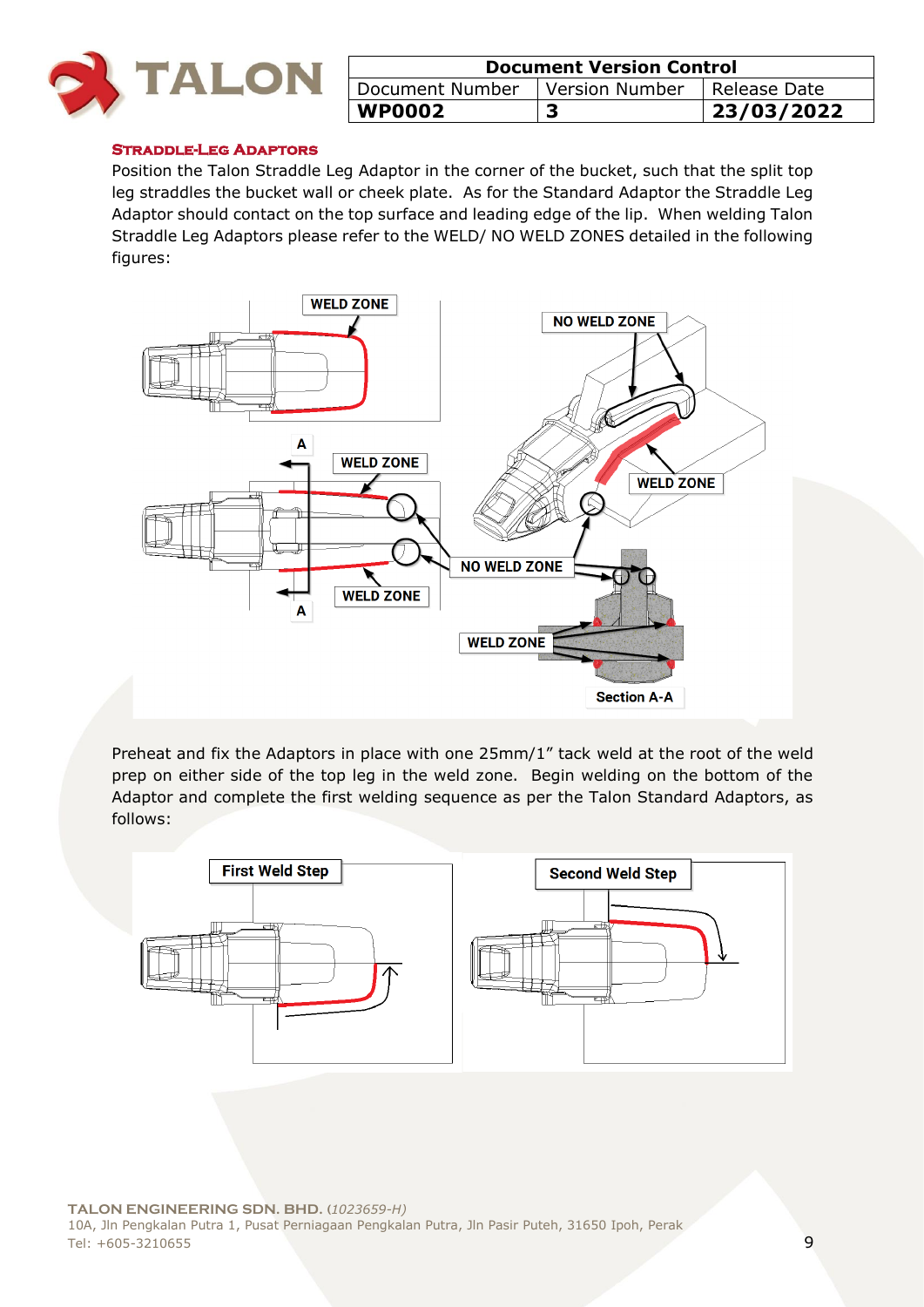

| <b>Document Version Control</b>                     |  |            |  |
|-----------------------------------------------------|--|------------|--|
| Version Number<br>Document Number<br>I Release Date |  |            |  |
| <b>WP0002</b>                                       |  | 23/03/2022 |  |

#### **Straddle-Leg Adaptors**

Position the Talon Straddle Leg Adaptor in the corner of the bucket, such that the split top leg straddles the bucket wall or cheek plate. As for the Standard Adaptor the Straddle Leg Adaptor should contact on the top surface and leading edge of the lip. When welding Talon Straddle Leg Adaptors please refer to the WELD/ NO WELD ZONES detailed in the following figures:



Preheat and fix the Adaptors in place with one 25mm/1" tack weld at the root of the weld prep on either side of the top leg in the weld zone. Begin welding on the bottom of the Adaptor and complete the first welding sequence as per the Talon Standard Adaptors, as follows:

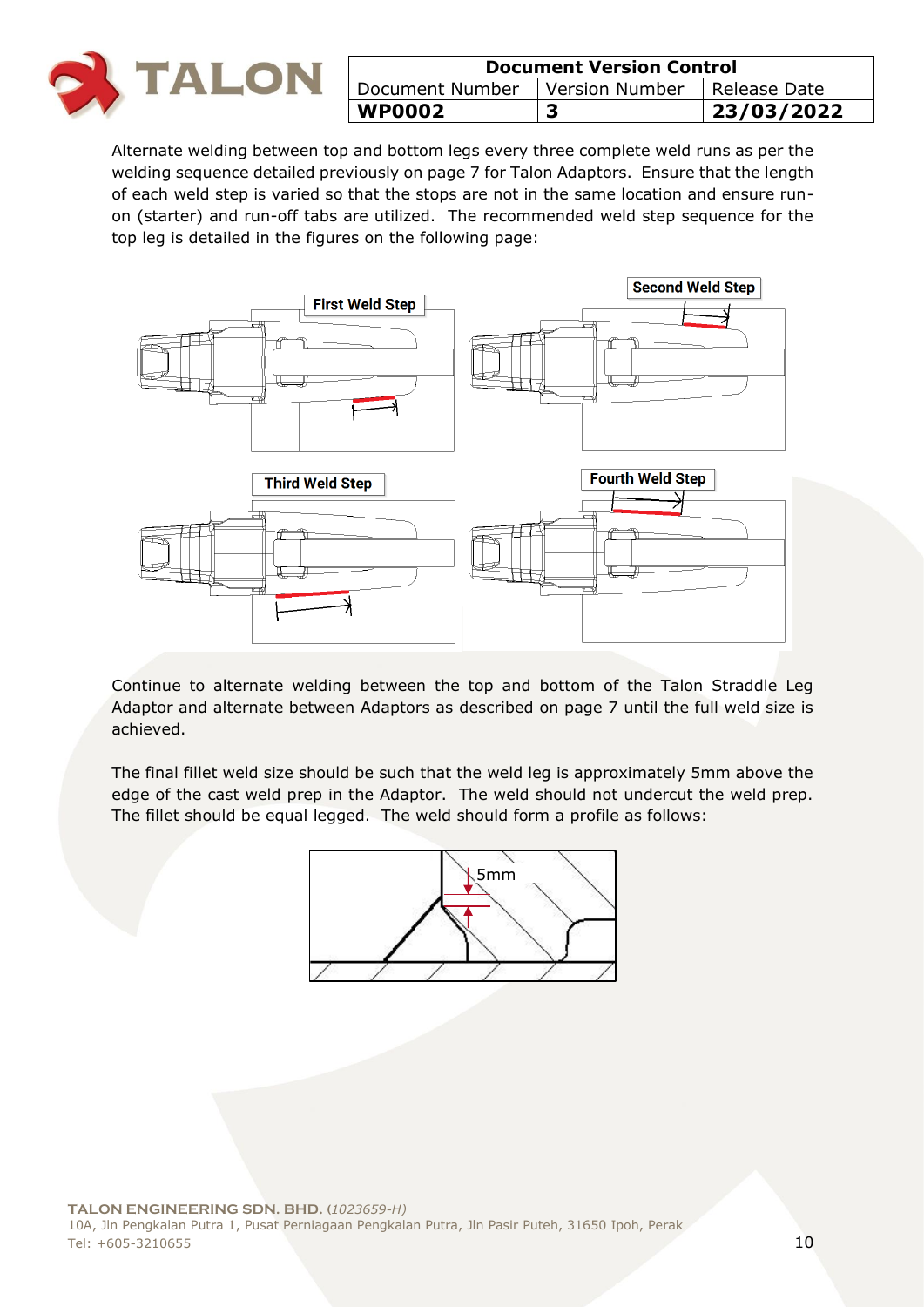

| <b>Document Version Control</b>                 |  |            |
|-------------------------------------------------|--|------------|
| Document Number   Version Number   Release Date |  |            |
| <b>WP0002</b>                                   |  | 23/03/2022 |

Alternate welding between top and bottom legs every three complete weld runs as per the welding sequence detailed previously on page 7 for Talon Adaptors. Ensure that the length of each weld step is varied so that the stops are not in the same location and ensure runon (starter) and run-off tabs are utilized. The recommended weld step sequence for the top leg is detailed in the figures on the following page:



Continue to alternate welding between the top and bottom of the Talon Straddle Leg Adaptor and alternate between Adaptors as described on page 7 until the full weld size is achieved.

The final fillet weld size should be such that the weld leg is approximately 5mm above the edge of the cast weld prep in the Adaptor. The weld should not undercut the weld prep. The fillet should be equal legged. The weld should form a profile as follows:

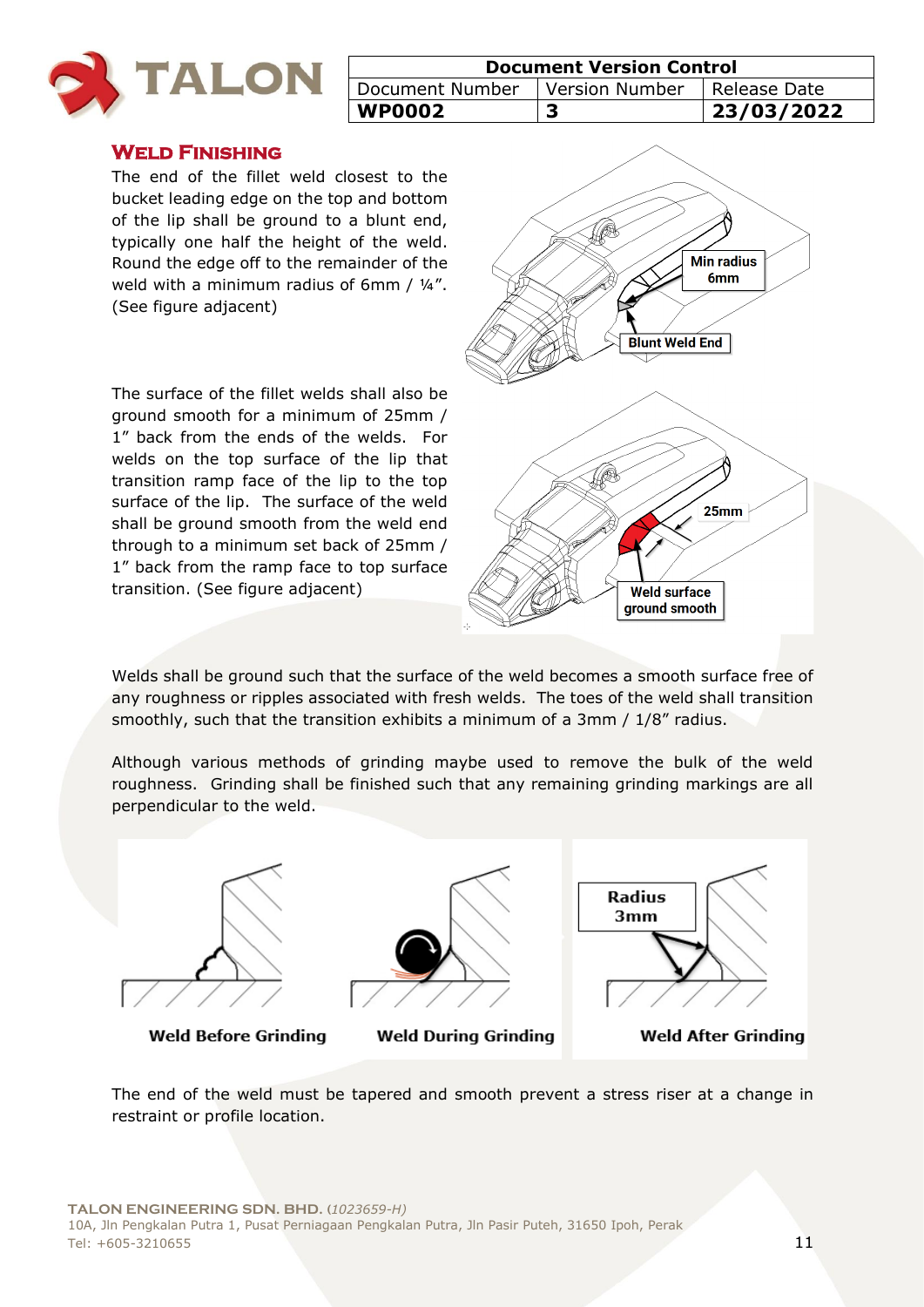

| <b>Document Version Control</b>  |  |              |
|----------------------------------|--|--------------|
| Document Number   Version Number |  | Release Date |
| <b>WP0002</b>                    |  | 23/03/2022   |

#### **Weld Finishing**

The end of the fillet weld closest to the bucket leading edge on the top and bottom of the lip shall be ground to a blunt end, typically one half the height of the weld. Round the edge off to the remainder of the weld with a minimum radius of 6mm / 1/4". (See figure adjacent)

The surface of the fillet welds shall also be ground smooth for a minimum of 25mm / 1" back from the ends of the welds. For welds on the top surface of the lip that transition ramp face of the lip to the top surface of the lip. The surface of the weld shall be ground smooth from the weld end through to a minimum set back of 25mm / 1" back from the ramp face to top surface transition. (See figure adjacent)



Welds shall be ground such that the surface of the weld becomes a smooth surface free of any roughness or ripples associated with fresh welds. The toes of the weld shall transition smoothly, such that the transition exhibits a minimum of a 3mm / 1/8" radius.

Although various methods of grinding maybe used to remove the bulk of the weld roughness. Grinding shall be finished such that any remaining grinding markings are all perpendicular to the weld.



Weld Before Grinding



**Weld During Grinding** 



**Weld After Grinding** 

The end of the weld must be tapered and smooth prevent a stress riser at a change in restraint or profile location.